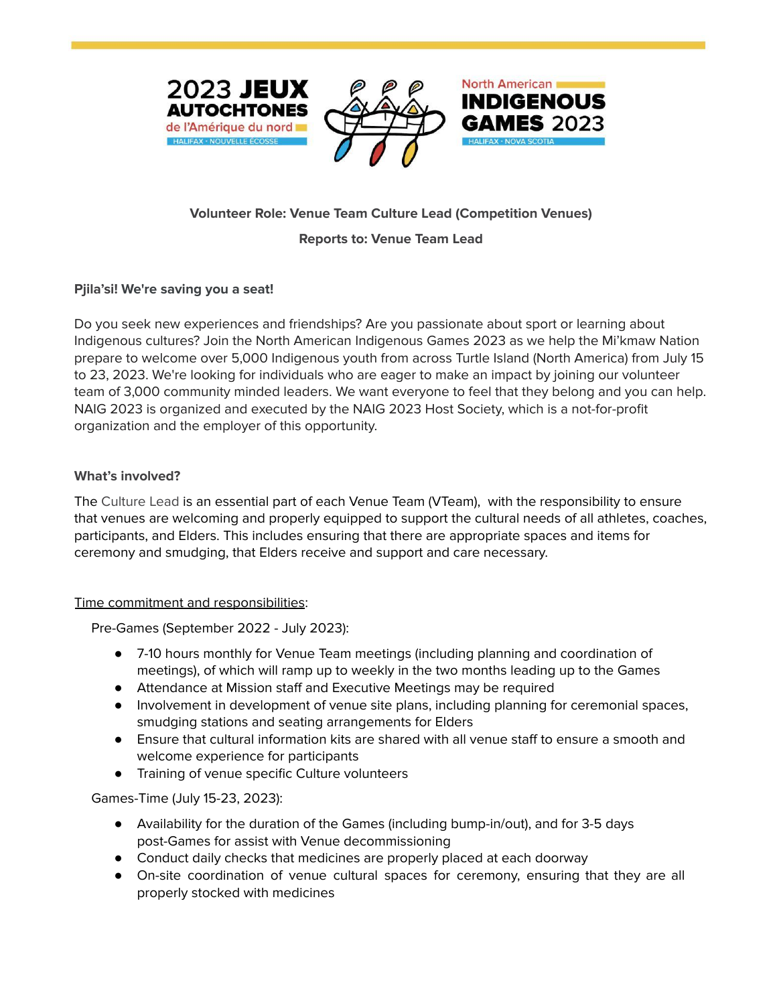





# **Volunteer Role: Venue Team Culture Lead (Competition Venues)**

#### **Reports to: Venue Team Lead**

# **Pjila'si! We're saving you a seat!**

Do you seek new experiences and friendships? Are you passionate about sport or learning about Indigenous cultures? Join the North American Indigenous Games 2023 as we help the Mi'kmaw Nation prepare to welcome over 5,000 Indigenous youth from across Turtle Island (North America) from July 15 to 23, 2023. We're looking for individuals who are eager to make an impact by joining our volunteer team of 3,000 community minded leaders. We want everyone to feel that they belong and you can help. NAIG 2023 is organized and executed by the NAIG 2023 Host Society, which is a not-for-profit organization and the employer of this opportunity.

# **What's involved?**

The Culture Lead is an essential part of each Venue Team (VTeam), with the responsibility to ensure that venues are welcoming and properly equipped to support the cultural needs of all athletes, coaches, participants, and Elders. This includes ensuring that there are appropriate spaces and items for ceremony and smudging, that Elders receive and support and care necessary.

# Time commitment and responsibilities:

Pre-Games (September 2022 - July 2023):

- 7-10 hours monthly for Venue Team meetings (including planning and coordination of meetings), of which will ramp up to weekly in the two months leading up to the Games
- Attendance at Mission staff and Executive Meetings may be required
- Involvement in development of venue site plans, including planning for ceremonial spaces, smudging stations and seating arrangements for Elders
- Ensure that cultural information kits are shared with all venue staff to ensure a smooth and welcome experience for participants
- Training of venue specific Culture volunteers

Games-Time (July 15-23, 2023):

- Availability for the duration of the Games (including bump-in/out), and for 3-5 days post-Games for assist with Venue decommissioning
- Conduct daily checks that medicines are properly placed at each doorway
- On-site coordination of venue cultural spaces for ceremony, ensuring that they are all properly stocked with medicines